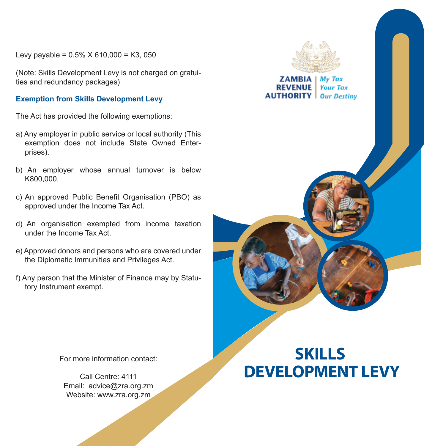Levy payable =  $0.5\%$  X 610,000 = K3,050

(Note: Skills Development Levy is not charged on gratuities and redundancy packages)

## **Exemption from Skills Development Levy**

The Act has provided the following exemptions:

- a) Any employer in public service or local authority (This exemption does not include State Owned Enterprises).
- b) An employer whose annual turnover is below K800,000.
- c) An approved Public Benefit Organisation (PBO) as approved under the Income Tax Act.
- d) An organisation exempted from income taxation under the Income Tax Act.
- e) Approved donors and persons who are covered under the Diplomatic Immunities and Privileges Act.
- f) Any person that the Minister of Finance may by Statutory Instrument exempt.

For more information contact:

Call Centre: 4111 Email: advice@zra.org.zm Website: www.zra.org.zm



**ZAMBIA I My Tax Your Tax AUTHORITY** I **Our Destiny** 

# **SKILLS DEVELOPMENT LEVY**